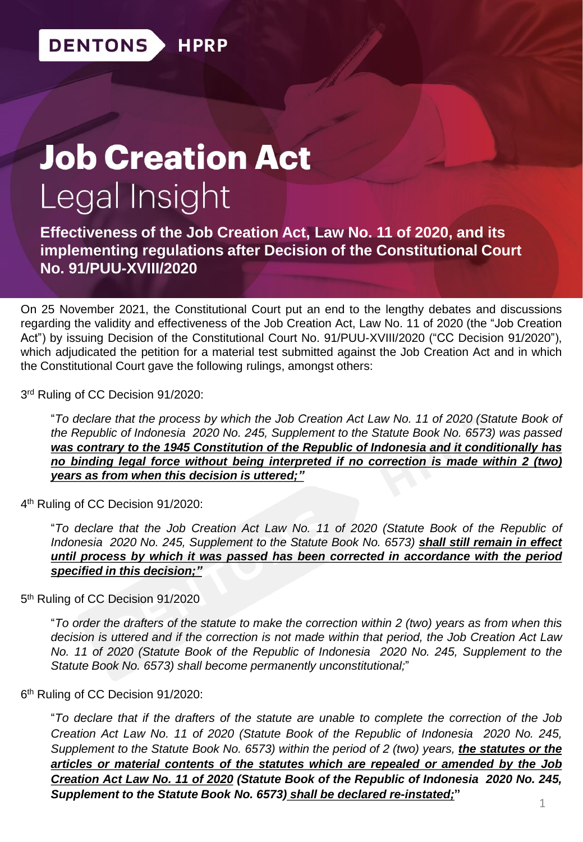# **Job Creation Act** Legal Insight

**Effectiveness of the Job Creation Act, Law No. 11 of 2020, and its implementing regulations after Decision of the Constitutional Court No. 91/PUU-XVIII/2020**

On 25 November 2021, the Constitutional Court put an end to the lengthy debates and discussions regarding the validity and effectiveness of the Job Creation Act, Law No. 11 of 2020 (the "Job Creation Act") by issuing Decision of the Constitutional Court No. 91/PUU-XVIII/2020 ("CC Decision 91/2020"), which adjudicated the petition for a material test submitted against the Job Creation Act and in which the Constitutional Court gave the following rulings, amongst others:

3<sup>rd</sup> Ruling of CC Decision 91/2020:

"To declare that the process by which the Job Creation Act Law No. 11 of 2020 (Statute Book of *the Republic of Indonesia 2020 No. 245, Supplement to the Statute Book No. 6573) was passed was contrary to the 1945 Constitution of the Republic of Indonesia and it conditionally has no binding legal force without being interpreted if no correction is made within 2 (two) years as from when this decision is uttered;"*

4<sup>th</sup> Ruling of CC Decision 91/2020:

"*To declare that the Job Creation Act Law No. 11 of 2020 (Statute Book of the Republic of Indonesia 2020 No. 245, Supplement to the Statute Book No. 6573) shall still remain in effect until process by which it was passed has been corrected in accordance with the period specified in this decision;"*

5<sup>th</sup> Ruling of CC Decision 91/2020

"To order the drafters of the statute to make the correction within 2 (two) years as from when this *decision is uttered and if the correction is not made within that period, the Job Creation Act Law No. 11 of 2020 (Statute Book of the Republic of Indonesia 2020 No. 245, Supplement to the Statute Book No. 6573) shall become permanently unconstitutional;*"

6 th Ruling of CC Decision 91/2020:

"*To declare that if the drafters of the statute are unable to complete the correction of the Job Creation Act Law No. 11 of 2020 (Statute Book of the Republic of Indonesia 2020 No. 245, Supplement to the Statute Book No. 6573) within the period of 2 (two) years, the statutes or the articles or material contents of the statutes which are repealed or amended by the Job Creation Act Law No. 11 of 2020 (Statute Book of the Republic of Indonesia 2020 No. 245, Supplement to the Statute Book No. 6573) shall be declared re-instated;***"**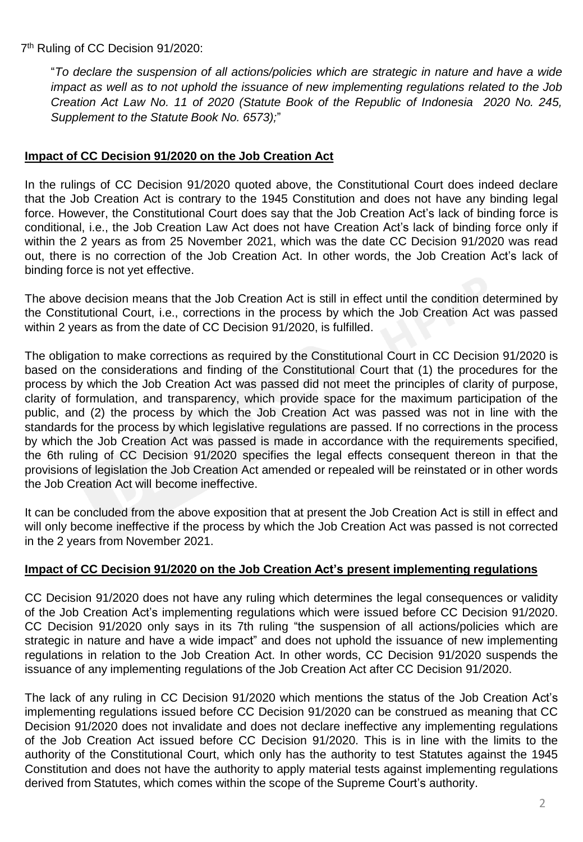7 th Ruling of CC Decision 91/2020:

"*To declare the suspension of all actions/policies which are strategic in nature and have a wide impact as well as to not uphold the issuance of new implementing regulations related to the Job Creation Act Law No. 11 of 2020 (Statute Book of the Republic of Indonesia 2020 No. 245, Supplement to the Statute Book No. 6573);*"

#### **Impact of CC Decision 91/2020 on the Job Creation Act**

In the rulings of CC Decision 91/2020 quoted above, the Constitutional Court does indeed declare that the Job Creation Act is contrary to the 1945 Constitution and does not have any binding legal force. However, the Constitutional Court does say that the Job Creation Act's lack of binding force is conditional, i.e., the Job Creation Law Act does not have Creation Act's lack of binding force only if within the 2 years as from 25 November 2021, which was the date CC Decision 91/2020 was read out, there is no correction of the Job Creation Act. In other words, the Job Creation Act's lack of binding force is not yet effective.

The above decision means that the Job Creation Act is still in effect until the condition determined by the Constitutional Court, i.e., corrections in the process by which the Job Creation Act was passed within 2 years as from the date of CC Decision 91/2020, is fulfilled.

The obligation to make corrections as required by the Constitutional Court in CC Decision 91/2020 is based on the considerations and finding of the Constitutional Court that (1) the procedures for the process by which the Job Creation Act was passed did not meet the principles of clarity of purpose, clarity of formulation, and transparency, which provide space for the maximum participation of the public, and (2) the process by which the Job Creation Act was passed was not in line with the standards for the process by which legislative regulations are passed. If no corrections in the process by which the Job Creation Act was passed is made in accordance with the requirements specified, the 6th ruling of CC Decision 91/2020 specifies the legal effects consequent thereon in that the provisions of legislation the Job Creation Act amended or repealed will be reinstated or in other words the Job Creation Act will become ineffective.

It can be concluded from the above exposition that at present the Job Creation Act is still in effect and will only become ineffective if the process by which the Job Creation Act was passed is not corrected in the 2 years from November 2021.

#### **Impact of CC Decision 91/2020 on the Job Creation Act's present implementing regulations**

CC Decision 91/2020 does not have any ruling which determines the legal consequences or validity of the Job Creation Act's implementing regulations which were issued before CC Decision 91/2020. CC Decision 91/2020 only says in its 7th ruling "the suspension of all actions/policies which are strategic in nature and have a wide impact" and does not uphold the issuance of new implementing regulations in relation to the Job Creation Act. In other words, CC Decision 91/2020 suspends the issuance of any implementing regulations of the Job Creation Act after CC Decision 91/2020.

The lack of any ruling in CC Decision 91/2020 which mentions the status of the Job Creation Act's implementing regulations issued before CC Decision 91/2020 can be construed as meaning that CC Decision 91/2020 does not invalidate and does not declare ineffective any implementing regulations of the Job Creation Act issued before CC Decision 91/2020. This is in line with the limits to the authority of the Constitutional Court, which only has the authority to test Statutes against the 1945 Constitution and does not have the authority to apply material tests against implementing regulations derived from Statutes, which comes within the scope of the Supreme Court's authority.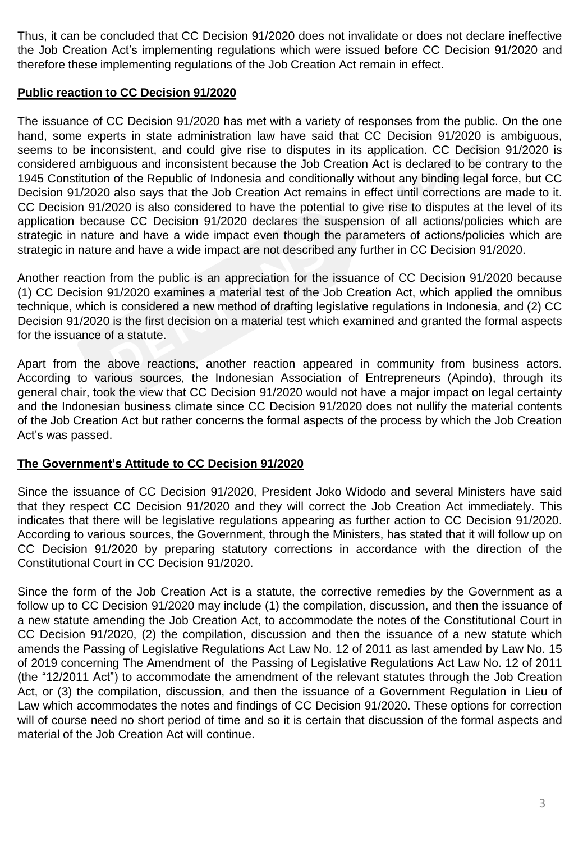Thus, it can be concluded that CC Decision 91/2020 does not invalidate or does not declare ineffective the Job Creation Act's implementing regulations which were issued before CC Decision 91/2020 and therefore these implementing regulations of the Job Creation Act remain in effect.

### **Public reaction to CC Decision 91/2020**

The issuance of CC Decision 91/2020 has met with a variety of responses from the public. On the one hand, some experts in state administration law have said that CC Decision 91/2020 is ambiguous, seems to be inconsistent, and could give rise to disputes in its application. CC Decision 91/2020 is considered ambiguous and inconsistent because the Job Creation Act is declared to be contrary to the 1945 Constitution of the Republic of Indonesia and conditionally without any binding legal force, but CC Decision 91/2020 also says that the Job Creation Act remains in effect until corrections are made to it. CC Decision 91/2020 is also considered to have the potential to give rise to disputes at the level of its application because CC Decision 91/2020 declares the suspension of all actions/policies which are strategic in nature and have a wide impact even though the parameters of actions/policies which are strategic in nature and have a wide impact are not described any further in CC Decision 91/2020.

Another reaction from the public is an appreciation for the issuance of CC Decision 91/2020 because (1) CC Decision 91/2020 examines a material test of the Job Creation Act, which applied the omnibus technique, which is considered a new method of drafting legislative regulations in Indonesia, and (2) CC Decision 91/2020 is the first decision on a material test which examined and granted the formal aspects for the issuance of a statute.

Apart from the above reactions, another reaction appeared in community from business actors. According to various sources, the Indonesian Association of Entrepreneurs (Apindo), through its general chair, took the view that CC Decision 91/2020 would not have a major impact on legal certainty and the Indonesian business climate since CC Decision 91/2020 does not nullify the material contents of the Job Creation Act but rather concerns the formal aspects of the process by which the Job Creation Act's was passed.

### **The Government's Attitude to CC Decision 91/2020**

Since the issuance of CC Decision 91/2020, President Joko Widodo and several Ministers have said that they respect CC Decision 91/2020 and they will correct the Job Creation Act immediately. This indicates that there will be legislative regulations appearing as further action to CC Decision 91/2020. According to various sources, the Government, through the Ministers, has stated that it will follow up on CC Decision 91/2020 by preparing statutory corrections in accordance with the direction of the Constitutional Court in CC Decision 91/2020.

Since the form of the Job Creation Act is a statute, the corrective remedies by the Government as a follow up to CC Decision 91/2020 may include (1) the compilation, discussion, and then the issuance of a new statute amending the Job Creation Act, to accommodate the notes of the Constitutional Court in CC Decision 91/2020, (2) the compilation, discussion and then the issuance of a new statute which amends the Passing of Legislative Regulations Act Law No. 12 of 2011 as last amended by Law No. 15 of 2019 concerning The Amendment of the Passing of Legislative Regulations Act Law No. 12 of 2011 (the "12/2011 Act") to accommodate the amendment of the relevant statutes through the Job Creation Act, or (3) the compilation, discussion, and then the issuance of a Government Regulation in Lieu of Law which accommodates the notes and findings of CC Decision 91/2020. These options for correction will of course need no short period of time and so it is certain that discussion of the formal aspects and material of the Job Creation Act will continue.